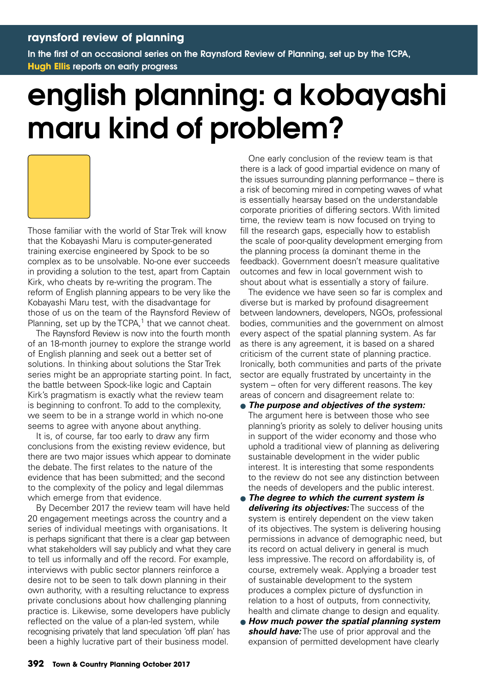In the first of an occasional series on the Raynsford Review of Planning, set up by the TCPA, **Hugh Ellis** reports on early progress

## english planning: a kobayashi maru kind of problem?



Those familiar with the world of Star Trek will know that the Kobayashi Maru is computer-generated training exercise engineered by Spock to be so complex as to be unsolvable. No-one ever succeeds in providing a solution to the test, apart from Captain Kirk, who cheats by re-writing the program. The reform of English planning appears to be very like the Kobayashi Maru test, with the disadvantage for those of us on the team of the Raynsford Review of Planning, set up by the  $TCPA$ ,<sup>1</sup> that we cannot cheat.

The Raynsford Review is now into the fourth month of an 18-month journey to explore the strange world of English planning and seek out a better set of solutions. In thinking about solutions the Star Trek series might be an appropriate starting point. In fact, the battle between Spock-like logic and Captain Kirk's pragmatism is exactly what the review team is beginning to confront. To add to the complexity, we seem to be in a strange world in which no-one seems to agree with anyone about anything.

It is, of course, far too early to draw any firm conclusions from the existing review evidence, but there are two major issues which appear to dominate the debate. The first relates to the nature of the evidence that has been submitted; and the second to the complexity of the policy and legal dilemmas which emerge from that evidence.

By December 2017 the review team will have held 20 engagement meetings across the country and a series of individual meetings with organisations. It is perhaps significant that there is a clear gap between what stakeholders will say publicly and what they care to tell us informally and off the record. For example, interviews with public sector planners reinforce a desire not to be seen to talk down planning in their own authority, with a resulting reluctance to express private conclusions about how challenging planning practice is. Likewise, some developers have publicly reflected on the value of a plan-led system, while recognising privately that land speculation 'off plan' has been a highly lucrative part of their business model.

One early conclusion of the review team is that there is a lack of good impartial evidence on many of the issues surrounding planning performance – there is a risk of becoming mired in competing waves of what is essentially hearsay based on the understandable corporate priorities of differing sectors. With limited time, the review team is now focused on trying to fill the research gaps, especially how to establish the scale of poor-quality development emerging from the planning process (a dominant theme in the feedback). Government doesn't measure qualitative outcomes and few in local government wish to shout about what is essentially a story of failure.

The evidence we have seen so far is complex and diverse but is marked by profound disagreement between landowners, developers, NGOs, professional bodies, communities and the government on almost every aspect of the spatial planning system. As far as there is any agreement, it is based on a shared criticism of the current state of planning practice. Ironically, both communities and parts of the private sector are equally frustrated by uncertainty in the system – often for very different reasons. The key areas of concern and disagreement relate to:

- **The purpose and objectives of the system:** The argument here is between those who see planning's priority as solely to deliver housing units in support of the wider economy and those who uphold a traditional view of planning as delivering sustainable development in the wider public interest. It is interesting that some respondents to the review do not see any distinction between the needs of developers and the public interest.
- **The degree to which the current system is delivering its objectives:** The success of the system is entirely dependent on the view taken of its objectives. The system is delivering housing permissions in advance of demographic need, but its record on actual delivery in general is much less impressive. The record on affordability is, of course, extremely weak. Applying a broader test of sustainable development to the system produces a complex picture of dysfunction in relation to a host of outputs, from connectivity, health and climate change to design and equality.
- **How much power the spatial planning system should have:** The use of prior approval and the expansion of permitted development have clearly